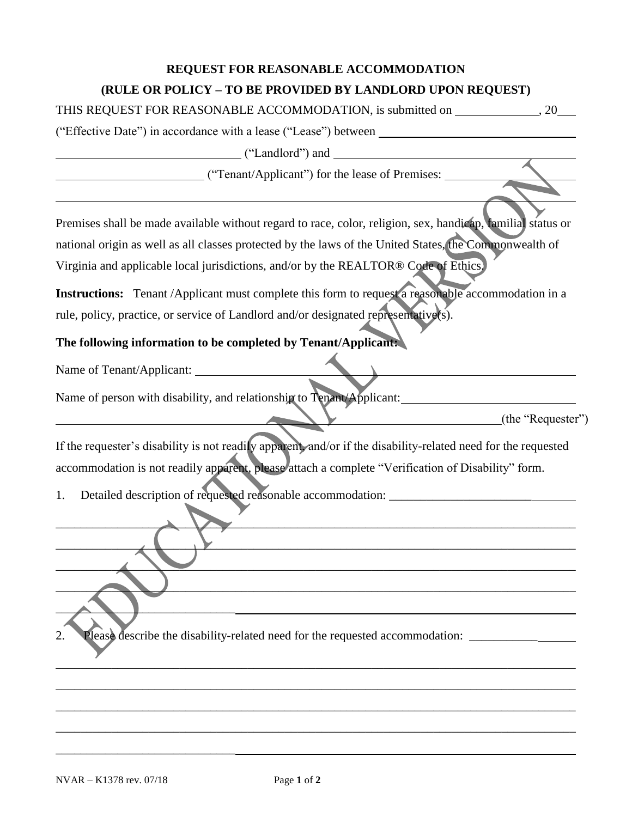## **REQUEST FOR REASONABLE ACCOMMODATION (RULE OR POLICY – TO BE PROVIDED BY LANDLORD UPON REQUEST)**

THIS REQUEST FOR REASONABLE ACCOMMODATION, is submitted on , 20

("Effective Date") in accordance with a lease ("Lease") between

("Landlord") and

("Tenant/Applicant") for the lease of Premises:

Premises shall be made available without regard to race, color, religion, sex, handicap, familial status or national origin as well as all classes protected by the laws of the United States, the Commonwealth of Virginia and applicable local jurisdictions, and/or by the REALTOR® Code of Ethics.

**Instructions:** Tenant /Applicant must complete this form to request a reasonable accommodation in a rule, policy, practice, or service of Landlord and/or designated representative(s).

**The following information to be completed by Tenant/Applicant:**

Name of Tenant/Applicant:

Name of person with disability, and relationship to Tenant/Applicant:

(the "Requester")

If the requester's disability is not readily apparent, and/or if the disability-related need for the requested accommodation is not readily apparent, please attach a complete "Verification of Disability" form.

\_\_\_\_\_\_\_\_\_\_\_\_\_\_\_\_\_\_\_\_\_\_\_\_\_\_\_\_\_\_\_\_\_\_\_\_\_\_\_\_\_\_\_\_\_\_\_\_\_\_\_\_\_\_\_\_\_\_\_\_\_\_\_\_\_\_\_\_\_\_\_\_\_\_\_\_\_\_\_\_\_\_\_\_

\_\_\_\_\_\_\_\_\_\_\_\_\_\_\_\_\_\_\_\_\_\_\_\_\_\_\_\_\_\_\_\_\_\_\_\_\_\_\_\_\_\_\_\_\_\_\_\_\_\_\_\_\_\_\_\_\_\_\_\_\_\_\_\_\_\_\_\_\_\_\_\_\_\_\_\_\_\_\_\_\_\_\_\_

 $\overline{\phantom{a}}$  ,  $\overline{\phantom{a}}$  ,  $\overline{\phantom{a}}$  ,  $\overline{\phantom{a}}$  ,  $\overline{\phantom{a}}$  ,  $\overline{\phantom{a}}$  ,  $\overline{\phantom{a}}$  ,  $\overline{\phantom{a}}$  ,  $\overline{\phantom{a}}$  ,  $\overline{\phantom{a}}$  ,  $\overline{\phantom{a}}$  ,  $\overline{\phantom{a}}$  ,  $\overline{\phantom{a}}$  ,  $\overline{\phantom{a}}$  ,  $\overline{\phantom{a}}$  ,  $\overline{\phantom{a}}$ 

\_\_\_\_\_\_\_\_\_\_\_\_\_\_\_\_\_\_\_\_\_\_\_\_\_\_\_\_\_\_\_\_\_\_\_\_\_\_\_\_\_\_\_\_\_\_\_\_\_\_\_\_\_\_\_\_\_\_\_\_\_\_\_\_\_\_\_\_\_\_\_\_\_\_\_\_\_\_\_\_\_\_\_\_

\_\_\_\_\_\_\_\_\_\_\_\_\_\_\_\_\_\_\_\_\_\_\_\_\_\_\_\_\_\_\_\_\_\_\_\_\_\_\_\_\_\_\_\_\_\_\_\_\_\_\_\_\_\_\_\_\_\_\_\_\_\_\_\_\_\_\_\_\_\_\_\_\_\_\_\_\_\_\_\_\_\_\_\_

\_\_\_\_\_\_\_\_\_\_\_\_\_\_\_\_\_\_\_\_\_\_\_\_\_\_\_\_\_\_\_\_\_\_\_\_\_\_\_\_\_\_\_\_\_\_\_\_\_\_\_\_\_\_\_\_\_\_\_\_\_\_\_\_\_\_\_\_\_\_\_\_\_\_\_\_\_\_\_\_\_\_\_\_

\_\_\_\_\_\_\_\_\_\_\_\_\_\_\_\_\_\_\_\_\_\_\_\_\_\_\_\_\_\_\_\_\_\_\_\_\_\_\_\_\_\_\_\_\_\_\_\_\_\_\_\_\_\_\_\_\_\_\_\_\_\_\_\_\_\_\_\_\_\_\_\_\_\_\_\_\_\_\_\_\_\_\_\_

\_\_\_\_\_\_\_\_\_\_\_\_\_\_\_\_\_\_\_\_\_\_\_\_\_\_\_\_\_\_\_\_\_\_\_\_\_\_\_\_\_\_\_\_\_\_\_\_\_\_\_\_\_\_\_\_\_\_\_\_\_\_\_\_\_\_\_\_\_\_\_\_\_\_\_\_\_\_\_\_\_\_\_\_

1. Detailed description of requested reasonable accommodation:

2. Please describe the disability-related need for the requested accommodation:

 $\overline{\phantom{a}}$ 

\_\_\_\_\_\_\_\_\_\_\_\_\_\_\_\_\_\_\_\_\_\_\_\_\_\_\_\_\_